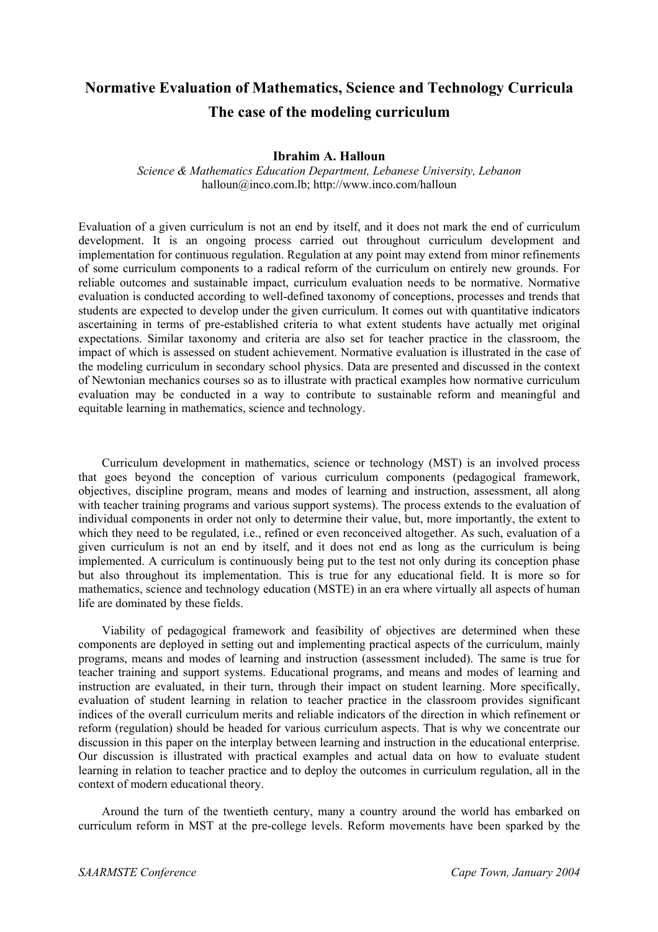# **Normative Evaluation of Mathematics, Science and Technology Curricula The case of the modeling curriculum**

#### **Ibrahim A. Halloun**

*Science & Mathematics Education Department, Lebanese University, Lebanon*  halloun@inco.com.lb; http://www.inco.com/halloun

Evaluation of a given curriculum is not an end by itself, and it does not mark the end of curriculum development. It is an ongoing process carried out throughout curriculum development and implementation for continuous regulation. Regulation at any point may extend from minor refinements of some curriculum components to a radical reform of the curriculum on entirely new grounds. For reliable outcomes and sustainable impact, curriculum evaluation needs to be normative. Normative evaluation is conducted according to well-defined taxonomy of conceptions, processes and trends that students are expected to develop under the given curriculum. It comes out with quantitative indicators ascertaining in terms of pre-established criteria to what extent students have actually met original expectations. Similar taxonomy and criteria are also set for teacher practice in the classroom, the impact of which is assessed on student achievement. Normative evaluation is illustrated in the case of the modeling curriculum in secondary school physics. Data are presented and discussed in the context of Newtonian mechanics courses so as to illustrate with practical examples how normative curriculum evaluation may be conducted in a way to contribute to sustainable reform and meaningful and equitable learning in mathematics, science and technology.

Curriculum development in mathematics, science or technology (MST) is an involved process that goes beyond the conception of various curriculum components (pedagogical framework, objectives, discipline program, means and modes of learning and instruction, assessment, all along with teacher training programs and various support systems). The process extends to the evaluation of individual components in order not only to determine their value, but, more importantly, the extent to which they need to be regulated, i.e., refined or even reconceived altogether. As such, evaluation of a given curriculum is not an end by itself, and it does not end as long as the curriculum is being implemented. A curriculum is continuously being put to the test not only during its conception phase but also throughout its implementation. This is true for any educational field. It is more so for mathematics, science and technology education (MSTE) in an era where virtually all aspects of human life are dominated by these fields.

Viability of pedagogical framework and feasibility of objectives are determined when these components are deployed in setting out and implementing practical aspects of the curriculum, mainly programs, means and modes of learning and instruction (assessment included). The same is true for teacher training and support systems. Educational programs, and means and modes of learning and instruction are evaluated, in their turn, through their impact on student learning. More specifically, evaluation of student learning in relation to teacher practice in the classroom provides significant indices of the overall curriculum merits and reliable indicators of the direction in which refinement or reform (regulation) should be headed for various curriculum aspects. That is why we concentrate our discussion in this paper on the interplay between learning and instruction in the educational enterprise. Our discussion is illustrated with practical examples and actual data on how to evaluate student learning in relation to teacher practice and to deploy the outcomes in curriculum regulation, all in the context of modern educational theory.

Around the turn of the twentieth century, many a country around the world has embarked on curriculum reform in MST at the pre-college levels. Reform movements have been sparked by the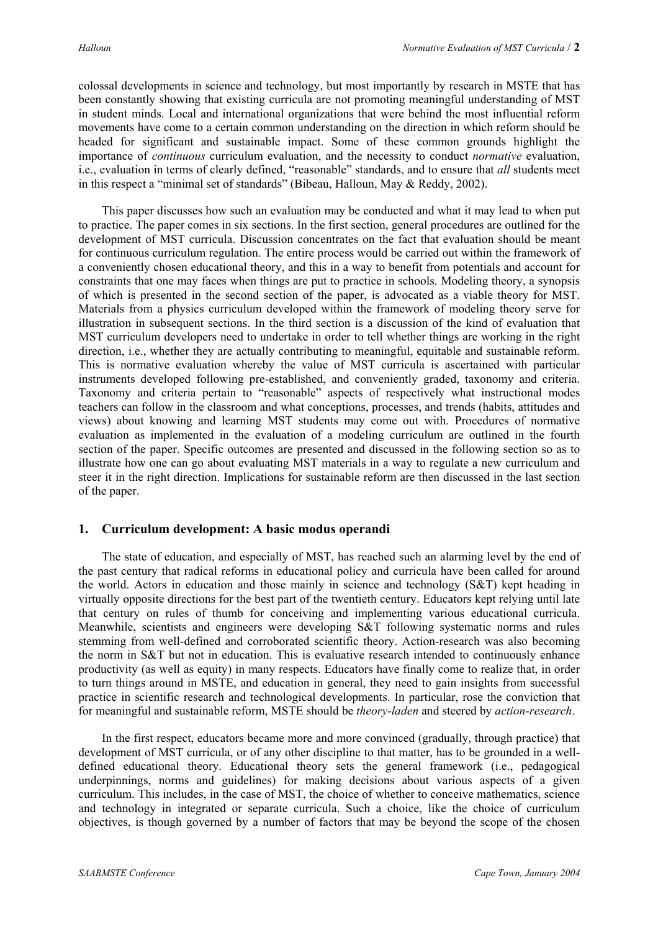colossal developments in science and technology, but most importantly by research in MSTE that has been constantly showing that existing curricula are not promoting meaningful understanding of MST in student minds. Local and international organizations that were behind the most influential reform movements have come to a certain common understanding on the direction in which reform should be headed for significant and sustainable impact. Some of these common grounds highlight the importance of *continuous* curriculum evaluation, and the necessity to conduct *normative* evaluation, i.e., evaluation in terms of clearly defined, "reasonable" standards, and to ensure that *all* students meet in this respect a "minimal set of standards" (Bibeau, Halloun, May & Reddy, 2002).

This paper discusses how such an evaluation may be conducted and what it may lead to when put to practice. The paper comes in six sections. In the first section, general procedures are outlined for the development of MST curricula. Discussion concentrates on the fact that evaluation should be meant for continuous curriculum regulation. The entire process would be carried out within the framework of a conveniently chosen educational theory, and this in a way to benefit from potentials and account for constraints that one may faces when things are put to practice in schools. Modeling theory, a synopsis of which is presented in the second section of the paper, is advocated as a viable theory for MST. Materials from a physics curriculum developed within the framework of modeling theory serve for illustration in subsequent sections. In the third section is a discussion of the kind of evaluation that MST curriculum developers need to undertake in order to tell whether things are working in the right direction, i.e., whether they are actually contributing to meaningful, equitable and sustainable reform. This is normative evaluation whereby the value of MST curricula is ascertained with particular instruments developed following pre-established, and conveniently graded, taxonomy and criteria. Taxonomy and criteria pertain to "reasonable" aspects of respectively what instructional modes teachers can follow in the classroom and what conceptions, processes, and trends (habits, attitudes and views) about knowing and learning MST students may come out with. Procedures of normative evaluation as implemented in the evaluation of a modeling curriculum are outlined in the fourth section of the paper. Specific outcomes are presented and discussed in the following section so as to illustrate how one can go about evaluating MST materials in a way to regulate a new curriculum and steer it in the right direction. Implications for sustainable reform are then discussed in the last section of the paper.

## **1. Curriculum development: A basic modus operandi**

The state of education, and especially of MST, has reached such an alarming level by the end of the past century that radical reforms in educational policy and curricula have been called for around the world. Actors in education and those mainly in science and technology (S&T) kept heading in virtually opposite directions for the best part of the twentieth century. Educators kept relying until late that century on rules of thumb for conceiving and implementing various educational curricula. Meanwhile, scientists and engineers were developing S&T following systematic norms and rules stemming from well-defined and corroborated scientific theory. Action-research was also becoming the norm in S&T but not in education. This is evaluative research intended to continuously enhance productivity (as well as equity) in many respects. Educators have finally come to realize that, in order to turn things around in MSTE, and education in general, they need to gain insights from successful practice in scientific research and technological developments. In particular, rose the conviction that for meaningful and sustainable reform, MSTE should be *theory-laden* and steered by *action-research*.

In the first respect, educators became more and more convinced (gradually, through practice) that development of MST curricula, or of any other discipline to that matter, has to be grounded in a welldefined educational theory. Educational theory sets the general framework (i.e., pedagogical underpinnings, norms and guidelines) for making decisions about various aspects of a given curriculum. This includes, in the case of MST, the choice of whether to conceive mathematics, science and technology in integrated or separate curricula. Such a choice, like the choice of curriculum objectives, is though governed by a number of factors that may be beyond the scope of the chosen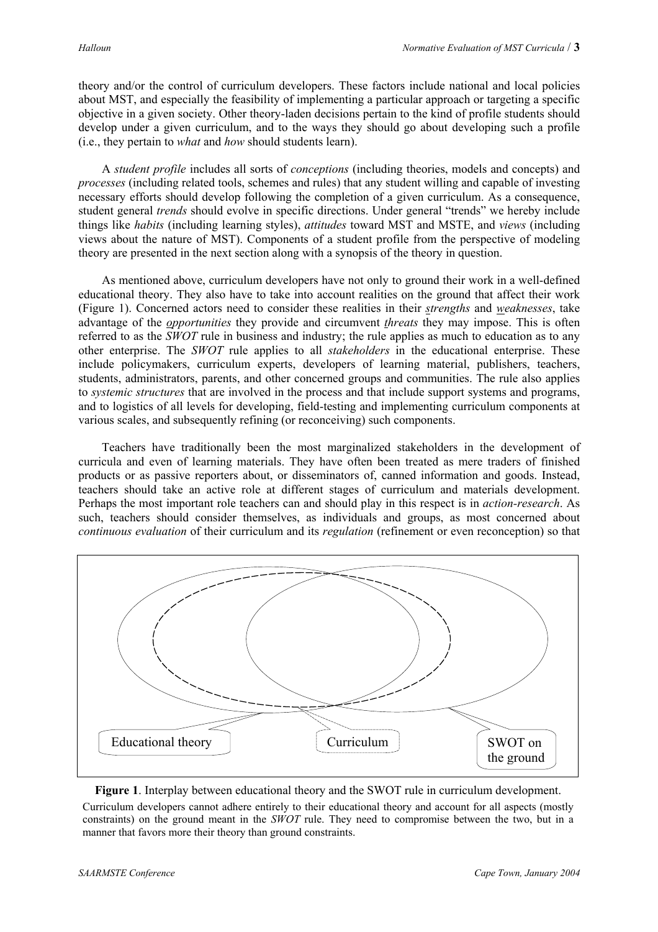theory and/or the control of curriculum developers. These factors include national and local policies about MST, and especially the feasibility of implementing a particular approach or targeting a specific objective in a given society. Other theory-laden decisions pertain to the kind of profile students should develop under a given curriculum, and to the ways they should go about developing such a profile (i.e., they pertain to *what* and *how* should students learn).

 A *student profile* includes all sorts of *conceptions* (including theories, models and concepts) and *processes* (including related tools, schemes and rules) that any student willing and capable of investing necessary efforts should develop following the completion of a given curriculum. As a consequence, student general *trends* should evolve in specific directions. Under general "trends" we hereby include things like *habits* (including learning styles), *attitudes* toward MST and MSTE, and *views* (including views about the nature of MST). Components of a student profile from the perspective of modeling theory are presented in the next section along with a synopsis of the theory in question.

As mentioned above, curriculum developers have not only to ground their work in a well-defined educational theory. They also have to take into account realities on the ground that affect their work (Figure 1). Concerned actors need to consider these realities in their *strengths* and *weaknesses*, take advantage of the *opportunities* they provide and circumvent *threats* they may impose. This is often referred to as the *SWOT* rule in business and industry; the rule applies as much to education as to any other enterprise. The *SWOT* rule applies to all *stakeholders* in the educational enterprise. These include policymakers, curriculum experts, developers of learning material, publishers, teachers, students, administrators, parents, and other concerned groups and communities. The rule also applies to *systemic structures* that are involved in the process and that include support systems and programs, and to logistics of all levels for developing, field-testing and implementing curriculum components at various scales, and subsequently refining (or reconceiving) such components.

Teachers have traditionally been the most marginalized stakeholders in the development of curricula and even of learning materials. They have often been treated as mere traders of finished products or as passive reporters about, or disseminators of, canned information and goods. Instead, teachers should take an active role at different stages of curriculum and materials development. Perhaps the most important role teachers can and should play in this respect is in *action-research*. As such, teachers should consider themselves, as individuals and groups, as most concerned about *continuous evaluation* of their curriculum and its *regulation* (refinement or even reconception) so that



**Figure 1**. Interplay between educational theory and the SWOT rule in curriculum development.

Curriculum developers cannot adhere entirely to their educational theory and account for all aspects (mostly constraints) on the ground meant in the *SWOT* rule. They need to compromise between the two, but in a manner that favors more their theory than ground constraints.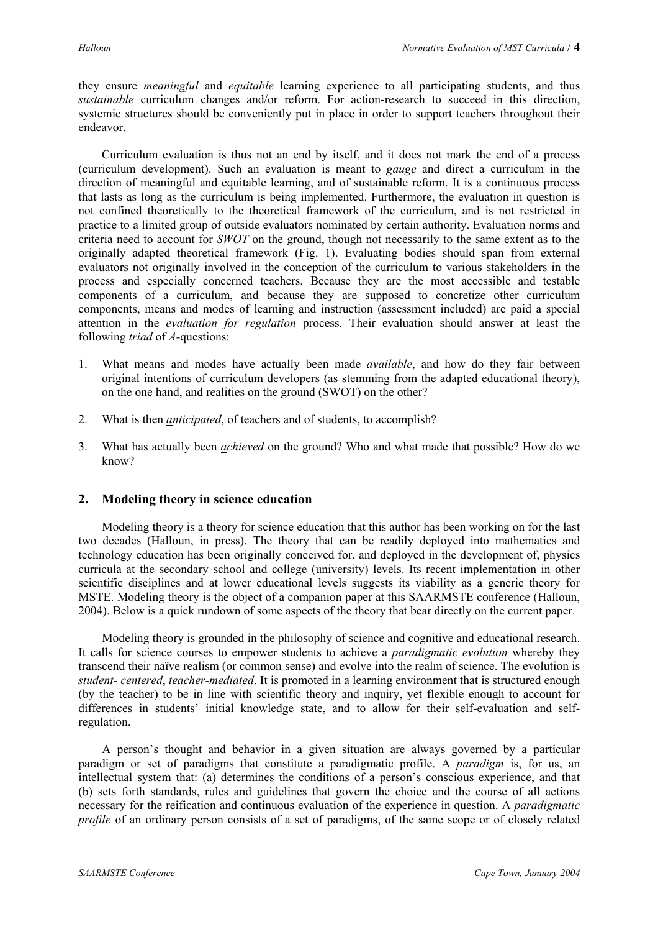they ensure *meaningful* and *equitable* learning experience to all participating students, and thus *sustainable* curriculum changes and/or reform. For action-research to succeed in this direction, systemic structures should be conveniently put in place in order to support teachers throughout their endeavor.

Curriculum evaluation is thus not an end by itself, and it does not mark the end of a process (curriculum development). Such an evaluation is meant to *gauge* and direct a curriculum in the direction of meaningful and equitable learning, and of sustainable reform. It is a continuous process that lasts as long as the curriculum is being implemented. Furthermore, the evaluation in question is not confined theoretically to the theoretical framework of the curriculum, and is not restricted in practice to a limited group of outside evaluators nominated by certain authority. Evaluation norms and criteria need to account for *SWOT* on the ground, though not necessarily to the same extent as to the originally adapted theoretical framework (Fig. 1). Evaluating bodies should span from external evaluators not originally involved in the conception of the curriculum to various stakeholders in the process and especially concerned teachers. Because they are the most accessible and testable components of a curriculum, and because they are supposed to concretize other curriculum components, means and modes of learning and instruction (assessment included) are paid a special attention in the *evaluation for regulation* process. Their evaluation should answer at least the following *triad* of *A-*questions:

- 1. What means and modes have actually been made *available*, and how do they fair between original intentions of curriculum developers (as stemming from the adapted educational theory), on the one hand, and realities on the ground (SWOT) on the other?
- 2. What is then *anticipated*, of teachers and of students, to accomplish?
- 3. What has actually been *achieved* on the ground? Who and what made that possible? How do we know?

## **2. Modeling theory in science education**

Modeling theory is a theory for science education that this author has been working on for the last two decades (Halloun, in press). The theory that can be readily deployed into mathematics and technology education has been originally conceived for, and deployed in the development of, physics curricula at the secondary school and college (university) levels. Its recent implementation in other scientific disciplines and at lower educational levels suggests its viability as a generic theory for MSTE. Modeling theory is the object of a companion paper at this SAARMSTE conference (Halloun, 2004). Below is a quick rundown of some aspects of the theory that bear directly on the current paper.

Modeling theory is grounded in the philosophy of science and cognitive and educational research. It calls for science courses to empower students to achieve a *paradigmatic evolution* whereby they transcend their naïve realism (or common sense) and evolve into the realm of science. The evolution is *student- centered*, *teacher-mediated*. It is promoted in a learning environment that is structured enough (by the teacher) to be in line with scientific theory and inquiry, yet flexible enough to account for differences in students' initial knowledge state, and to allow for their self-evaluation and selfregulation.

A person's thought and behavior in a given situation are always governed by a particular paradigm or set of paradigms that constitute a paradigmatic profile. A *paradigm* is, for us, an intellectual system that: (a) determines the conditions of a person's conscious experience, and that (b) sets forth standards, rules and guidelines that govern the choice and the course of all actions necessary for the reification and continuous evaluation of the experience in question. A *paradigmatic profile* of an ordinary person consists of a set of paradigms, of the same scope or of closely related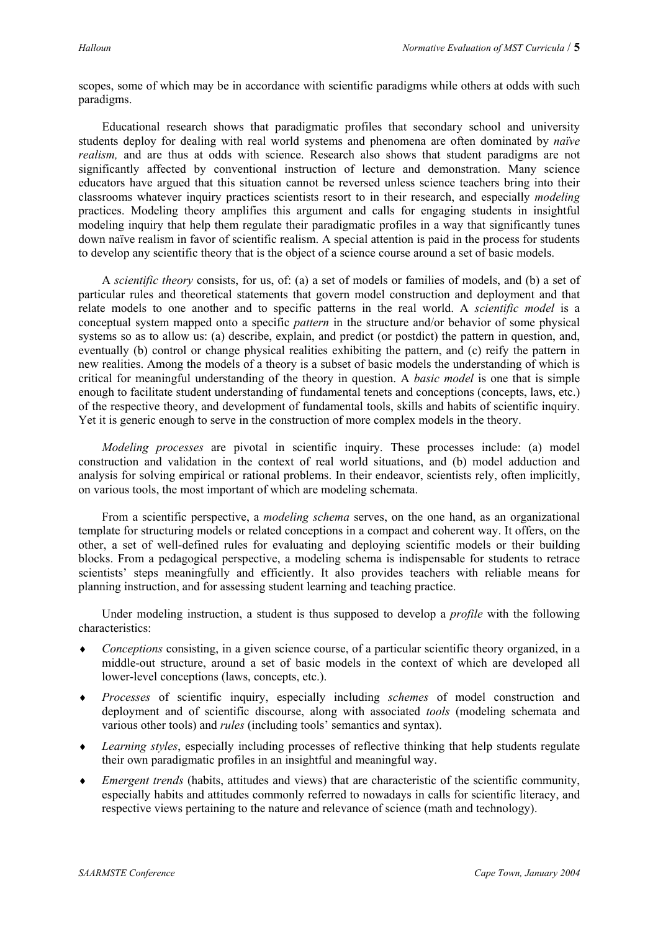scopes, some of which may be in accordance with scientific paradigms while others at odds with such paradigms.

Educational research shows that paradigmatic profiles that secondary school and university students deploy for dealing with real world systems and phenomena are often dominated by *naïve realism,* and are thus at odds with science. Research also shows that student paradigms are not significantly affected by conventional instruction of lecture and demonstration. Many science educators have argued that this situation cannot be reversed unless science teachers bring into their classrooms whatever inquiry practices scientists resort to in their research, and especially *modeling*  practices. Modeling theory amplifies this argument and calls for engaging students in insightful modeling inquiry that help them regulate their paradigmatic profiles in a way that significantly tunes down naïve realism in favor of scientific realism. A special attention is paid in the process for students to develop any scientific theory that is the object of a science course around a set of basic models.

 A *scientific theory* consists, for us, of: (a) a set of models or families of models, and (b) a set of particular rules and theoretical statements that govern model construction and deployment and that relate models to one another and to specific patterns in the real world. A *scientific model* is a conceptual system mapped onto a specific *pattern* in the structure and/or behavior of some physical systems so as to allow us: (a) describe, explain, and predict (or postdict) the pattern in question, and, eventually (b) control or change physical realities exhibiting the pattern, and (c) reify the pattern in new realities. Among the models of a theory is a subset of basic models the understanding of which is critical for meaningful understanding of the theory in question. A *basic model* is one that is simple enough to facilitate student understanding of fundamental tenets and conceptions (concepts, laws, etc.) of the respective theory, and development of fundamental tools, skills and habits of scientific inquiry. Yet it is generic enough to serve in the construction of more complex models in the theory.

*Modeling processes* are pivotal in scientific inquiry. These processes include: (a) model construction and validation in the context of real world situations, and (b) model adduction and analysis for solving empirical or rational problems. In their endeavor, scientists rely, often implicitly, on various tools, the most important of which are modeling schemata.

From a scientific perspective, a *modeling schema* serves, on the one hand, as an organizational template for structuring models or related conceptions in a compact and coherent way. It offers, on the other, a set of well-defined rules for evaluating and deploying scientific models or their building blocks. From a pedagogical perspective, a modeling schema is indispensable for students to retrace scientists' steps meaningfully and efficiently. It also provides teachers with reliable means for planning instruction, and for assessing student learning and teaching practice.

Under modeling instruction, a student is thus supposed to develop a *profile* with the following characteristics:

- *Conceptions* consisting, in a given science course, of a particular scientific theory organized, in a middle-out structure, around a set of basic models in the context of which are developed all lower-level conceptions (laws, concepts, etc.). ♦
- ♦ *Processes* of scientific inquiry, especially including *schemes* of model construction and deployment and of scientific discourse, along with associated *tools* (modeling schemata and various other tools) and *rules* (including tools' semantics and syntax).
- ♦ *Learning styles*, especially including processes of reflective thinking that help students regulate their own paradigmatic profiles in an insightful and meaningful way.
- ♦ *Emergent trends* (habits, attitudes and views) that are characteristic of the scientific community, especially habits and attitudes commonly referred to nowadays in calls for scientific literacy, and respective views pertaining to the nature and relevance of science (math and technology).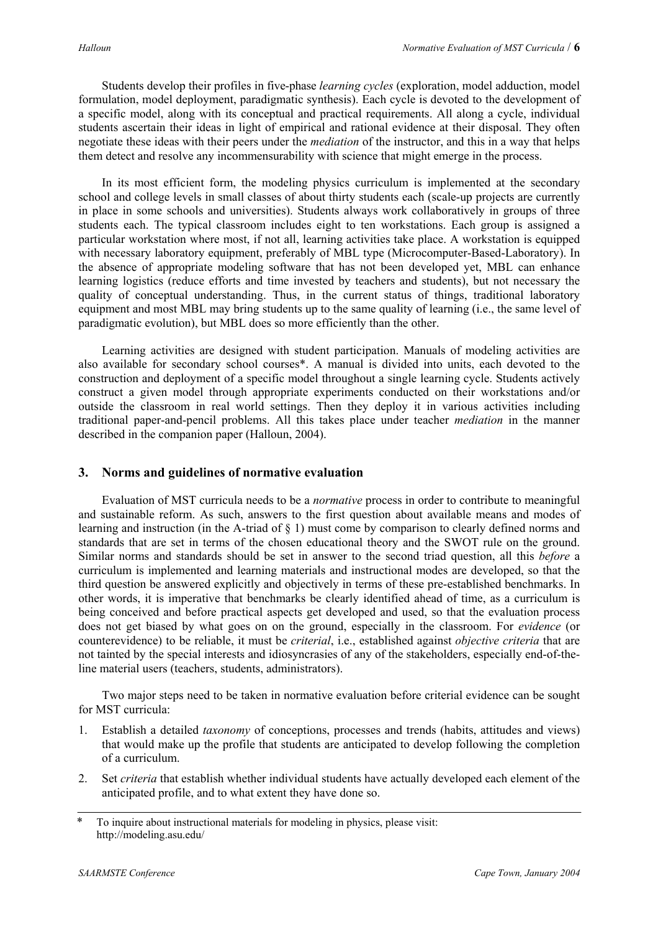Students develop their profiles in five-phase *learning cycles* (exploration, model adduction, model formulation, model deployment, paradigmatic synthesis). Each cycle is devoted to the development of a specific model, along with its conceptual and practical requirements. All along a cycle, individual students ascertain their ideas in light of empirical and rational evidence at their disposal. They often negotiate these ideas with their peers under the *mediation* of the instructor, and this in a way that helps them detect and resolve any incommensurability with science that might emerge in the process.

In its most efficient form, the modeling physics curriculum is implemented at the secondary school and college levels in small classes of about thirty students each (scale-up projects are currently in place in some schools and universities). Students always work collaboratively in groups of three students each. The typical classroom includes eight to ten workstations. Each group is assigned a particular workstation where most, if not all, learning activities take place. A workstation is equipped with necessary laboratory equipment, preferably of MBL type (Microcomputer-Based-Laboratory). In the absence of appropriate modeling software that has not been developed yet, MBL can enhance learning logistics (reduce efforts and time invested by teachers and students), but not necessary the quality of conceptual understanding. Thus, in the current status of things, traditional laboratory equipment and most MBL may bring students up to the same quality of learning (i.e., the same level of paradigmatic evolution), but MBL does so more efficiently than the other.

Learning activities are designed with student participation. Manuals of modeling activities are also available for secondary school courses\*. A manual is divided into units, each devoted to the construction and deployment of a specific model throughout a single learning cycle. Students actively construct a given model through appropriate experiments conducted on their workstations and/or outside the classroom in real world settings. Then they deploy it in various activities including traditional paper-and-pencil problems. All this takes place under teacher *mediation* in the manner described in the companion paper (Halloun, 2004).

# **3. Norms and guidelines of normative evaluation**

Evaluation of MST curricula needs to be a *normative* process in order to contribute to meaningful and sustainable reform. As such, answers to the first question about available means and modes of learning and instruction (in the A-triad of § 1) must come by comparison to clearly defined norms and standards that are set in terms of the chosen educational theory and the SWOT rule on the ground. Similar norms and standards should be set in answer to the second triad question, all this *before* a curriculum is implemented and learning materials and instructional modes are developed, so that the third question be answered explicitly and objectively in terms of these pre-established benchmarks. In other words, it is imperative that benchmarks be clearly identified ahead of time, as a curriculum is being conceived and before practical aspects get developed and used, so that the evaluation process does not get biased by what goes on on the ground, especially in the classroom. For *evidence* (or counterevidence) to be reliable, it must be *criterial*, i.e., established against *objective criteria* that are not tainted by the special interests and idiosyncrasies of any of the stakeholders, especially end-of-theline material users (teachers, students, administrators).

Two major steps need to be taken in normative evaluation before criterial evidence can be sought for MST curricula:

- 1. Establish a detailed *taxonomy* of conceptions, processes and trends (habits, attitudes and views) that would make up the profile that students are anticipated to develop following the completion of a curriculum.
- 2. Set *criteria* that establish whether individual students have actually developed each element of the anticipated profile, and to what extent they have done so.

<sup>\*</sup> To inquire about instructional materials for modeling in physics, please visit: http://modeling.asu.edu/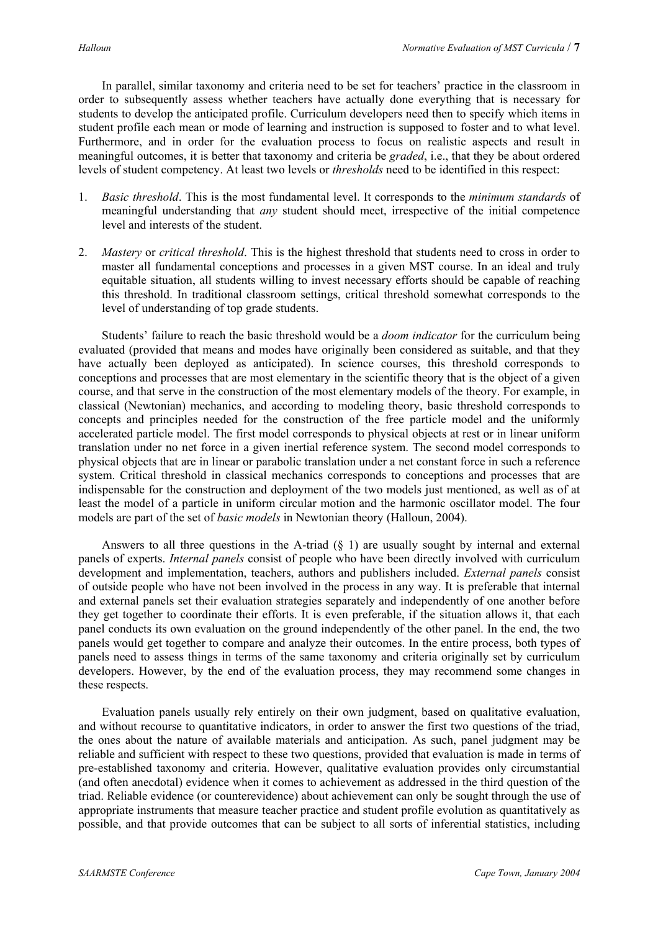In parallel, similar taxonomy and criteria need to be set for teachers' practice in the classroom in order to subsequently assess whether teachers have actually done everything that is necessary for students to develop the anticipated profile. Curriculum developers need then to specify which items in student profile each mean or mode of learning and instruction is supposed to foster and to what level. Furthermore, and in order for the evaluation process to focus on realistic aspects and result in meaningful outcomes, it is better that taxonomy and criteria be *graded*, i.e., that they be about ordered levels of student competency. At least two levels or *thresholds* need to be identified in this respect:

- 1. *Basic threshold*. This is the most fundamental level. It corresponds to the *minimum standards* of meaningful understanding that *any* student should meet, irrespective of the initial competence level and interests of the student.
- 2. *Mastery* or *critical threshold*. This is the highest threshold that students need to cross in order to master all fundamental conceptions and processes in a given MST course. In an ideal and truly equitable situation, all students willing to invest necessary efforts should be capable of reaching this threshold. In traditional classroom settings, critical threshold somewhat corresponds to the level of understanding of top grade students.

Students' failure to reach the basic threshold would be a *doom indicator* for the curriculum being evaluated (provided that means and modes have originally been considered as suitable, and that they have actually been deployed as anticipated). In science courses, this threshold corresponds to conceptions and processes that are most elementary in the scientific theory that is the object of a given course, and that serve in the construction of the most elementary models of the theory. For example, in classical (Newtonian) mechanics, and according to modeling theory, basic threshold corresponds to concepts and principles needed for the construction of the free particle model and the uniformly accelerated particle model. The first model corresponds to physical objects at rest or in linear uniform translation under no net force in a given inertial reference system. The second model corresponds to physical objects that are in linear or parabolic translation under a net constant force in such a reference system. Critical threshold in classical mechanics corresponds to conceptions and processes that are indispensable for the construction and deployment of the two models just mentioned, as well as of at least the model of a particle in uniform circular motion and the harmonic oscillator model. The four models are part of the set of *basic models* in Newtonian theory (Halloun, 2004).

Answers to all three questions in the A-triad  $(\xi)$  1) are usually sought by internal and external panels of experts. *Internal panels* consist of people who have been directly involved with curriculum development and implementation, teachers, authors and publishers included. *External panels* consist of outside people who have not been involved in the process in any way. It is preferable that internal and external panels set their evaluation strategies separately and independently of one another before they get together to coordinate their efforts. It is even preferable, if the situation allows it, that each panel conducts its own evaluation on the ground independently of the other panel. In the end, the two panels would get together to compare and analyze their outcomes. In the entire process, both types of panels need to assess things in terms of the same taxonomy and criteria originally set by curriculum developers. However, by the end of the evaluation process, they may recommend some changes in these respects.

Evaluation panels usually rely entirely on their own judgment, based on qualitative evaluation, and without recourse to quantitative indicators, in order to answer the first two questions of the triad, the ones about the nature of available materials and anticipation. As such, panel judgment may be reliable and sufficient with respect to these two questions, provided that evaluation is made in terms of pre-established taxonomy and criteria. However, qualitative evaluation provides only circumstantial (and often anecdotal) evidence when it comes to achievement as addressed in the third question of the triad. Reliable evidence (or counterevidence) about achievement can only be sought through the use of appropriate instruments that measure teacher practice and student profile evolution as quantitatively as possible, and that provide outcomes that can be subject to all sorts of inferential statistics, including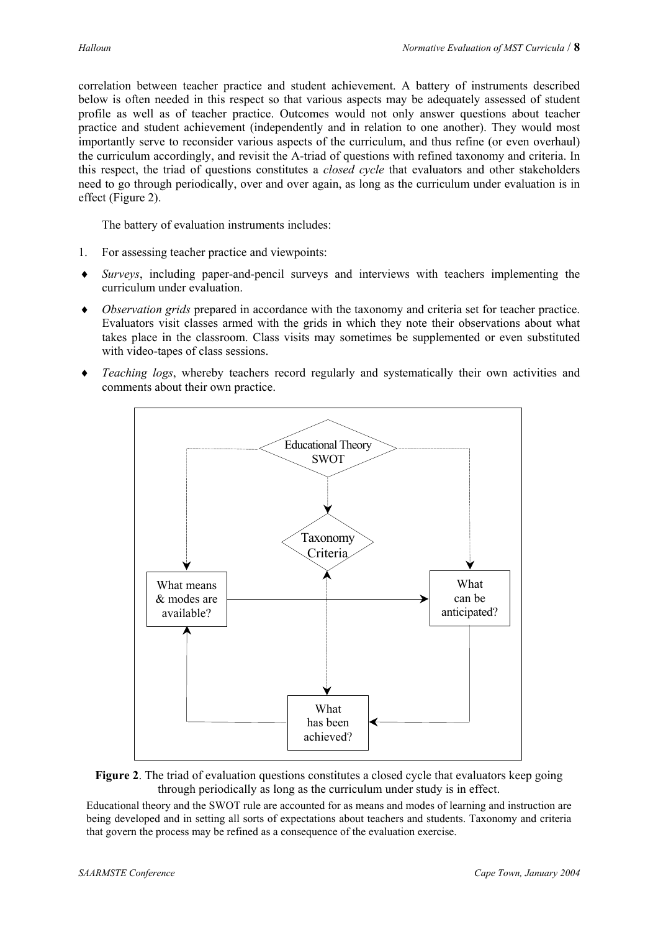correlation between teacher practice and student achievement. A battery of instruments described below is often needed in this respect so that various aspects may be adequately assessed of student profile as well as of teacher practice. Outcomes would not only answer questions about teacher practice and student achievement (independently and in relation to one another). They would most importantly serve to reconsider various aspects of the curriculum, and thus refine (or even overhaul) the curriculum accordingly, and revisit the A-triad of questions with refined taxonomy and criteria. In this respect, the triad of questions constitutes a *closed cycle* that evaluators and other stakeholders need to go through periodically, over and over again, as long as the curriculum under evaluation is in effect (Figure 2).

The battery of evaluation instruments includes:

- 1. For assessing teacher practice and viewpoints:
- *Surveys*, including paper-and-pencil surveys and interviews with teachers implementing the curriculum under evaluation. ♦
- ♦ *Observation grids* prepared in accordance with the taxonomy and criteria set for teacher practice. Evaluators visit classes armed with the grids in which they note their observations about what takes place in the classroom. Class visits may sometimes be supplemented or even substituted with video-tapes of class sessions.
- ♦ *Teaching logs*, whereby teachers record regularly and systematically their own activities and comments about their own practice.





Educational theory and the SWOT rule are accounted for as means and modes of learning and instruction are being developed and in setting all sorts of expectations about teachers and students. Taxonomy and criteria that govern the process may be refined as a consequence of the evaluation exercise.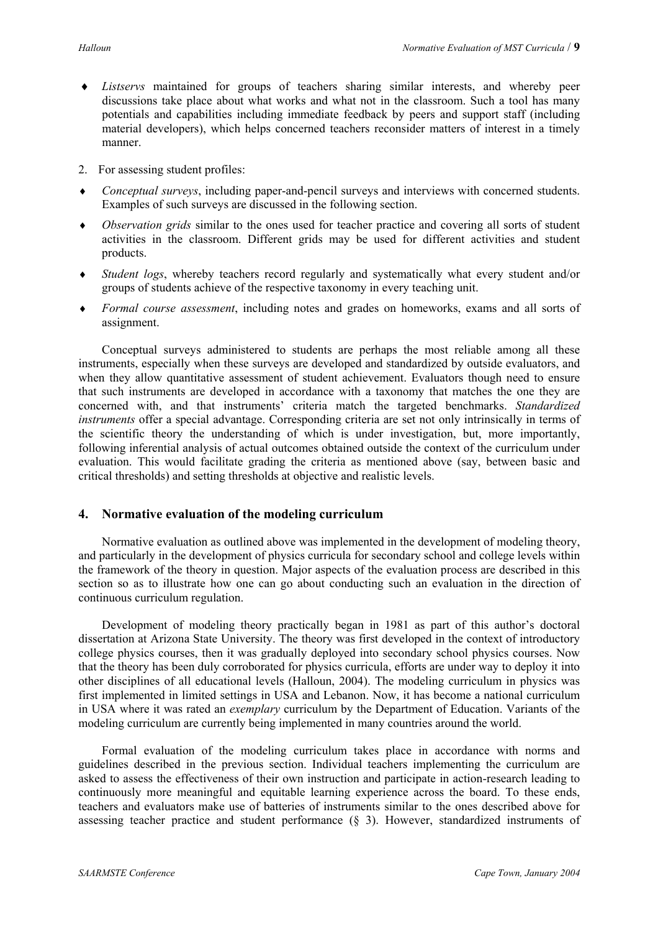- *Listservs* maintained for groups of teachers sharing similar interests, and whereby peer discussions take place about what works and what not in the classroom. Such a tool has many potentials and capabilities including immediate feedback by peers and support staff (including material developers), which helps concerned teachers reconsider matters of interest in a timely manner. ♦
- 2. For assessing student profiles:
- ♦ *Conceptual surveys*, including paper-and-pencil surveys and interviews with concerned students. Examples of such surveys are discussed in the following section.
- ♦ *Observation grids* similar to the ones used for teacher practice and covering all sorts of student activities in the classroom. Different grids may be used for different activities and student products.
- ♦ *Student logs*, whereby teachers record regularly and systematically what every student and/or groups of students achieve of the respective taxonomy in every teaching unit.
- ♦ *Formal course assessment*, including notes and grades on homeworks, exams and all sorts of assignment.

Conceptual surveys administered to students are perhaps the most reliable among all these instruments, especially when these surveys are developed and standardized by outside evaluators, and when they allow quantitative assessment of student achievement. Evaluators though need to ensure that such instruments are developed in accordance with a taxonomy that matches the one they are concerned with, and that instruments' criteria match the targeted benchmarks. *Standardized instruments* offer a special advantage. Corresponding criteria are set not only intrinsically in terms of the scientific theory the understanding of which is under investigation, but, more importantly, following inferential analysis of actual outcomes obtained outside the context of the curriculum under evaluation. This would facilitate grading the criteria as mentioned above (say, between basic and critical thresholds) and setting thresholds at objective and realistic levels.

## **4. Normative evaluation of the modeling curriculum**

Normative evaluation as outlined above was implemented in the development of modeling theory, and particularly in the development of physics curricula for secondary school and college levels within the framework of the theory in question. Major aspects of the evaluation process are described in this section so as to illustrate how one can go about conducting such an evaluation in the direction of continuous curriculum regulation.

Development of modeling theory practically began in 1981 as part of this author's doctoral dissertation at Arizona State University. The theory was first developed in the context of introductory college physics courses, then it was gradually deployed into secondary school physics courses. Now that the theory has been duly corroborated for physics curricula, efforts are under way to deploy it into other disciplines of all educational levels (Halloun, 2004). The modeling curriculum in physics was first implemented in limited settings in USA and Lebanon. Now, it has become a national curriculum in USA where it was rated an *exemplary* curriculum by the Department of Education. Variants of the modeling curriculum are currently being implemented in many countries around the world.

Formal evaluation of the modeling curriculum takes place in accordance with norms and guidelines described in the previous section. Individual teachers implementing the curriculum are asked to assess the effectiveness of their own instruction and participate in action-research leading to continuously more meaningful and equitable learning experience across the board. To these ends, teachers and evaluators make use of batteries of instruments similar to the ones described above for assessing teacher practice and student performance (§ 3). However, standardized instruments of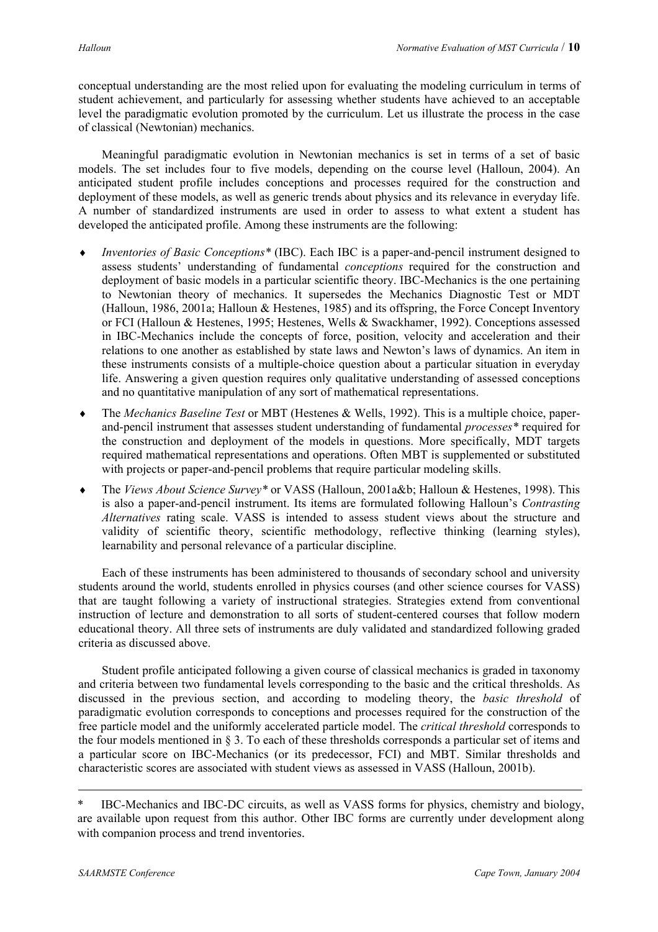conceptual understanding are the most relied upon for evaluating the modeling curriculum in terms of student achievement, and particularly for assessing whether students have achieved to an acceptable level the paradigmatic evolution promoted by the curriculum. Let us illustrate the process in the case of classical (Newtonian) mechanics.

Meaningful paradigmatic evolution in Newtonian mechanics is set in terms of a set of basic models. The set includes four to five models, depending on the course level (Halloun, 2004). An anticipated student profile includes conceptions and processes required for the construction and deployment of these models, as well as generic trends about physics and its relevance in everyday life. A number of standardized instruments are used in order to assess to what extent a student has developed the anticipated profile. Among these instruments are the following:

- *Inventories of Basic Conceptions\** (IBC). Each IBC is a paper-and-pencil instrument designed to assess students' understanding of fundamental *conceptions* required for the construction and deployment of basic models in a particular scientific theory. IBC-Mechanics is the one pertaining to Newtonian theory of mechanics. It supersedes the Mechanics Diagnostic Test or MDT (Halloun, 1986, 2001a; Halloun & Hestenes, 1985) and its offspring, the Force Concept Inventory or FCI (Halloun & Hestenes, 1995; Hestenes, Wells & Swackhamer, 1992). Conceptions assessed in IBC-Mechanics include the concepts of force, position, velocity and acceleration and their relations to one another as established by state laws and Newton's laws of dynamics. An item in these instruments consists of a multiple-choice question about a particular situation in everyday life. Answering a given question requires only qualitative understanding of assessed conceptions and no quantitative manipulation of any sort of mathematical representations. ♦
- ♦ The *Mechanics Baseline Test* or MBT (Hestenes & Wells, 1992). This is a multiple choice, paperand-pencil instrument that assesses student understanding of fundamental *processes\** required for the construction and deployment of the models in questions. More specifically, MDT targets required mathematical representations and operations. Often MBT is supplemented or substituted with projects or paper-and-pencil problems that require particular modeling skills.
- ♦ The *Views About Science Survey\** or VASS (Halloun, 2001a&b; Halloun & Hestenes, 1998). This is also a paper-and-pencil instrument. Its items are formulated following Halloun's *Contrasting Alternatives* rating scale. VASS is intended to assess student views about the structure and validity of scientific theory, scientific methodology, reflective thinking (learning styles), learnability and personal relevance of a particular discipline.

Each of these instruments has been administered to thousands of secondary school and university students around the world, students enrolled in physics courses (and other science courses for VASS) that are taught following a variety of instructional strategies. Strategies extend from conventional instruction of lecture and demonstration to all sorts of student-centered courses that follow modern educational theory. All three sets of instruments are duly validated and standardized following graded criteria as discussed above.

Student profile anticipated following a given course of classical mechanics is graded in taxonomy and criteria between two fundamental levels corresponding to the basic and the critical thresholds. As discussed in the previous section, and according to modeling theory, the *basic threshold* of paradigmatic evolution corresponds to conceptions and processes required for the construction of the free particle model and the uniformly accelerated particle model. The *critical threshold* corresponds to the four models mentioned in § 3. To each of these thresholds corresponds a particular set of items and a particular score on IBC-Mechanics (or its predecessor, FCI) and MBT. Similar thresholds and characteristic scores are associated with student views as assessed in VASS (Halloun, 2001b).

IBC-Mechanics and IBC-DC circuits, as well as VASS forms for physics, chemistry and biology, are available upon request from this author. Other IBC forms are currently under development along with companion process and trend inventories.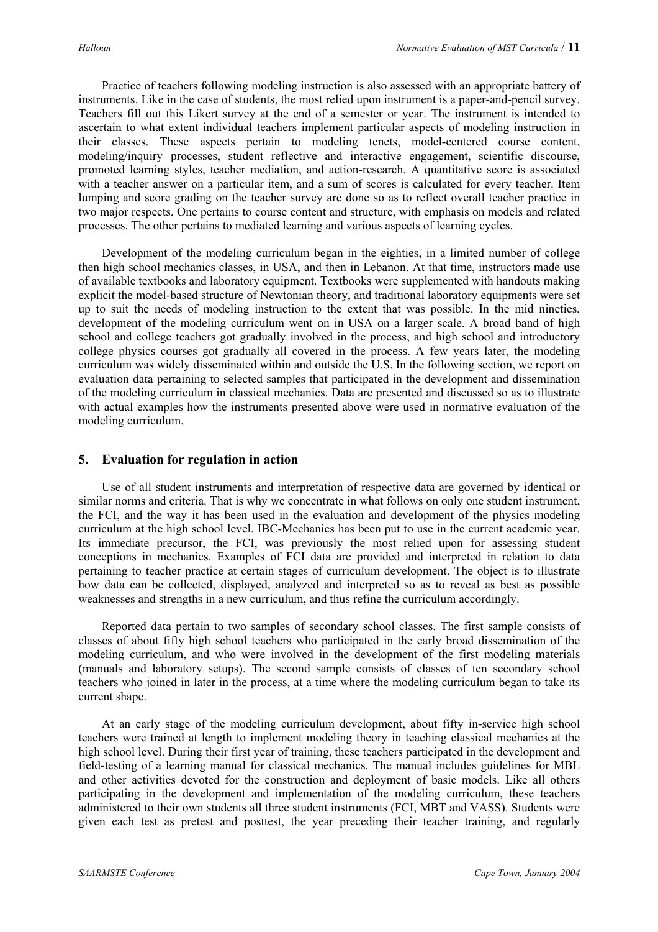Practice of teachers following modeling instruction is also assessed with an appropriate battery of instruments. Like in the case of students, the most relied upon instrument is a paper-and-pencil survey. Teachers fill out this Likert survey at the end of a semester or year. The instrument is intended to ascertain to what extent individual teachers implement particular aspects of modeling instruction in their classes. These aspects pertain to modeling tenets, model-centered course content, modeling/inquiry processes, student reflective and interactive engagement, scientific discourse, promoted learning styles, teacher mediation, and action-research. A quantitative score is associated with a teacher answer on a particular item, and a sum of scores is calculated for every teacher. Item lumping and score grading on the teacher survey are done so as to reflect overall teacher practice in two major respects. One pertains to course content and structure, with emphasis on models and related processes. The other pertains to mediated learning and various aspects of learning cycles.

Development of the modeling curriculum began in the eighties, in a limited number of college then high school mechanics classes, in USA, and then in Lebanon. At that time, instructors made use of available textbooks and laboratory equipment. Textbooks were supplemented with handouts making explicit the model-based structure of Newtonian theory, and traditional laboratory equipments were set up to suit the needs of modeling instruction to the extent that was possible. In the mid nineties, development of the modeling curriculum went on in USA on a larger scale. A broad band of high school and college teachers got gradually involved in the process, and high school and introductory college physics courses got gradually all covered in the process. A few years later, the modeling curriculum was widely disseminated within and outside the U.S. In the following section, we report on evaluation data pertaining to selected samples that participated in the development and dissemination of the modeling curriculum in classical mechanics. Data are presented and discussed so as to illustrate with actual examples how the instruments presented above were used in normative evaluation of the modeling curriculum.

#### **5. Evaluation for regulation in action**

Use of all student instruments and interpretation of respective data are governed by identical or similar norms and criteria. That is why we concentrate in what follows on only one student instrument, the FCI, and the way it has been used in the evaluation and development of the physics modeling curriculum at the high school level. IBC-Mechanics has been put to use in the current academic year. Its immediate precursor, the FCI, was previously the most relied upon for assessing student conceptions in mechanics. Examples of FCI data are provided and interpreted in relation to data pertaining to teacher practice at certain stages of curriculum development. The object is to illustrate how data can be collected, displayed, analyzed and interpreted so as to reveal as best as possible weaknesses and strengths in a new curriculum, and thus refine the curriculum accordingly.

Reported data pertain to two samples of secondary school classes. The first sample consists of classes of about fifty high school teachers who participated in the early broad dissemination of the modeling curriculum, and who were involved in the development of the first modeling materials (manuals and laboratory setups). The second sample consists of classes of ten secondary school teachers who joined in later in the process, at a time where the modeling curriculum began to take its current shape.

At an early stage of the modeling curriculum development, about fifty in-service high school teachers were trained at length to implement modeling theory in teaching classical mechanics at the high school level. During their first year of training, these teachers participated in the development and field-testing of a learning manual for classical mechanics. The manual includes guidelines for MBL and other activities devoted for the construction and deployment of basic models. Like all others participating in the development and implementation of the modeling curriculum, these teachers administered to their own students all three student instruments (FCI, MBT and VASS). Students were given each test as pretest and posttest, the year preceding their teacher training, and regularly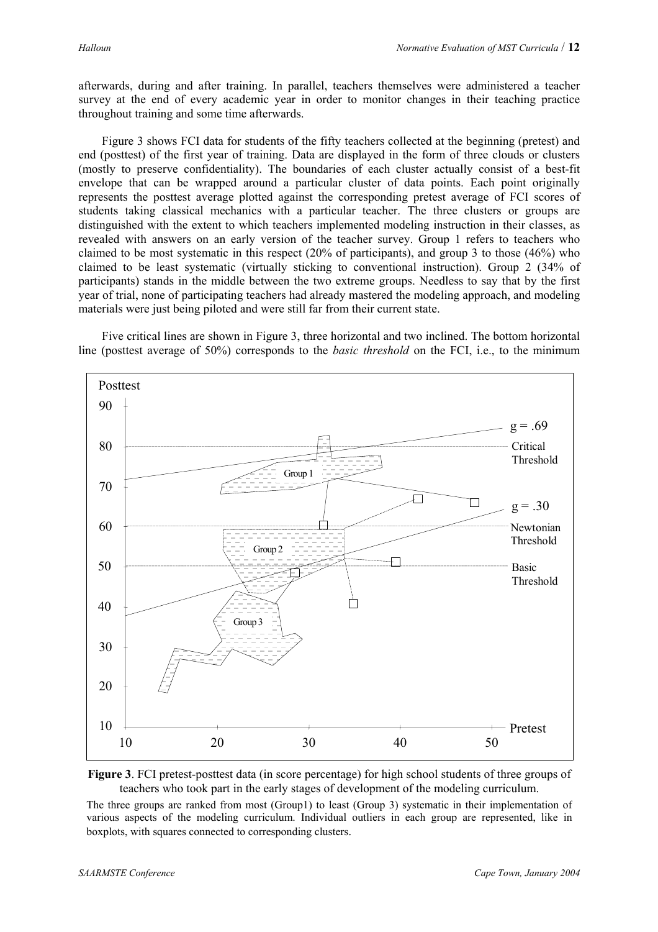afterwards, during and after training. In parallel, teachers themselves were administered a teacher survey at the end of every academic year in order to monitor changes in their teaching practice throughout training and some time afterwards.

Figure 3 shows FCI data for students of the fifty teachers collected at the beginning (pretest) and end (posttest) of the first year of training. Data are displayed in the form of three clouds or clusters (mostly to preserve confidentiality). The boundaries of each cluster actually consist of a best-fit envelope that can be wrapped around a particular cluster of data points. Each point originally represents the posttest average plotted against the corresponding pretest average of FCI scores of students taking classical mechanics with a particular teacher. The three clusters or groups are distinguished with the extent to which teachers implemented modeling instruction in their classes, as revealed with answers on an early version of the teacher survey. Group 1 refers to teachers who claimed to be most systematic in this respect (20% of participants), and group 3 to those (46%) who claimed to be least systematic (virtually sticking to conventional instruction). Group 2 (34% of participants) stands in the middle between the two extreme groups. Needless to say that by the first year of trial, none of participating teachers had already mastered the modeling approach, and modeling materials were just being piloted and were still far from their current state.

Five critical lines are shown in Figure 3, three horizontal and two inclined. The bottom horizontal line (posttest average of 50%) corresponds to the *basic threshold* on the FCI, i.e., to the minimum





The three groups are ranked from most (Group1) to least (Group 3) systematic in their implementation of various aspects of the modeling curriculum. Individual outliers in each group are represented, like in boxplots, with squares connected to corresponding clusters.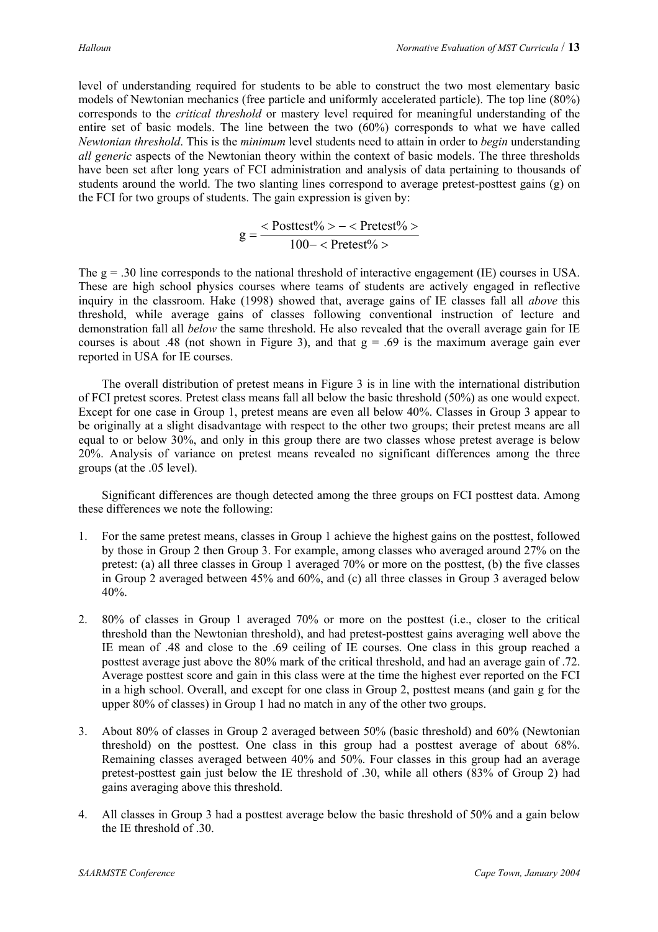level of understanding required for students to be able to construct the two most elementary basic models of Newtonian mechanics (free particle and uniformly accelerated particle). The top line (80%) corresponds to the *critical threshold* or mastery level required for meaningful understanding of the entire set of basic models. The line between the two (60%) corresponds to what we have called *Newtonian threshold*. This is the *minimum* level students need to attain in order to *begin* understanding *all generic* aspects of the Newtonian theory within the context of basic models. The three thresholds have been set after long years of FCI administration and analysis of data pertaining to thousands of students around the world. The two slanting lines correspond to average pretest-posttest gains (g) on the FCI for two groups of students. The gain expression is given by:

$$
g = \frac{ - < Pretest\% >}{100 - < Pretest\% >}
$$

The g = .30 line corresponds to the national threshold of interactive engagement (IE) courses in USA. These are high school physics courses where teams of students are actively engaged in reflective inquiry in the classroom. Hake (1998) showed that, average gains of IE classes fall all *above* this threshold, while average gains of classes following conventional instruction of lecture and demonstration fall all *below* the same threshold. He also revealed that the overall average gain for IE courses is about .48 (not shown in Figure 3), and that  $g = .69$  is the maximum average gain ever reported in USA for IE courses.

The overall distribution of pretest means in Figure 3 is in line with the international distribution of FCI pretest scores. Pretest class means fall all below the basic threshold (50%) as one would expect. Except for one case in Group 1, pretest means are even all below 40%. Classes in Group 3 appear to be originally at a slight disadvantage with respect to the other two groups; their pretest means are all equal to or below 30%, and only in this group there are two classes whose pretest average is below 20%. Analysis of variance on pretest means revealed no significant differences among the three groups (at the .05 level).

Significant differences are though detected among the three groups on FCI posttest data. Among these differences we note the following:

- 1. For the same pretest means, classes in Group 1 achieve the highest gains on the posttest, followed by those in Group 2 then Group 3. For example, among classes who averaged around 27% on the pretest: (a) all three classes in Group 1 averaged 70% or more on the posttest, (b) the five classes in Group 2 averaged between 45% and 60%, and (c) all three classes in Group 3 averaged below 40%.
- 2. 80% of classes in Group 1 averaged 70% or more on the posttest (i.e., closer to the critical threshold than the Newtonian threshold), and had pretest-posttest gains averaging well above the IE mean of .48 and close to the .69 ceiling of IE courses. One class in this group reached a posttest average just above the 80% mark of the critical threshold, and had an average gain of .72. Average posttest score and gain in this class were at the time the highest ever reported on the FCI in a high school. Overall, and except for one class in Group 2, posttest means (and gain g for the upper 80% of classes) in Group 1 had no match in any of the other two groups.
- 3. About 80% of classes in Group 2 averaged between 50% (basic threshold) and 60% (Newtonian threshold) on the posttest. One class in this group had a posttest average of about 68%. Remaining classes averaged between 40% and 50%. Four classes in this group had an average pretest-posttest gain just below the IE threshold of .30, while all others (83% of Group 2) had gains averaging above this threshold.
- 4. All classes in Group 3 had a posttest average below the basic threshold of 50% and a gain below the IE threshold of .30.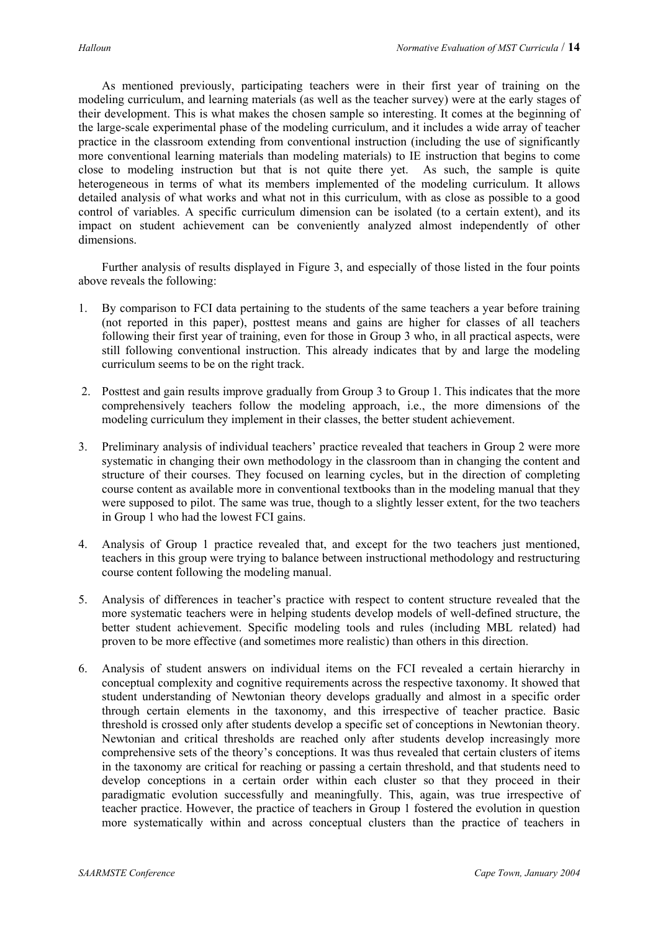As mentioned previously, participating teachers were in their first year of training on the modeling curriculum, and learning materials (as well as the teacher survey) were at the early stages of their development. This is what makes the chosen sample so interesting. It comes at the beginning of the large-scale experimental phase of the modeling curriculum, and it includes a wide array of teacher practice in the classroom extending from conventional instruction (including the use of significantly more conventional learning materials than modeling materials) to IE instruction that begins to come close to modeling instruction but that is not quite there yet. As such, the sample is quite heterogeneous in terms of what its members implemented of the modeling curriculum. It allows detailed analysis of what works and what not in this curriculum, with as close as possible to a good control of variables. A specific curriculum dimension can be isolated (to a certain extent), and its impact on student achievement can be conveniently analyzed almost independently of other dimensions.

Further analysis of results displayed in Figure 3, and especially of those listed in the four points above reveals the following:

- 1. By comparison to FCI data pertaining to the students of the same teachers a year before training (not reported in this paper), posttest means and gains are higher for classes of all teachers following their first year of training, even for those in Group 3 who, in all practical aspects, were still following conventional instruction. This already indicates that by and large the modeling curriculum seems to be on the right track.
- 2. Posttest and gain results improve gradually from Group 3 to Group 1. This indicates that the more comprehensively teachers follow the modeling approach, i.e., the more dimensions of the modeling curriculum they implement in their classes, the better student achievement.
- 3. Preliminary analysis of individual teachers' practice revealed that teachers in Group 2 were more systematic in changing their own methodology in the classroom than in changing the content and structure of their courses. They focused on learning cycles, but in the direction of completing course content as available more in conventional textbooks than in the modeling manual that they were supposed to pilot. The same was true, though to a slightly lesser extent, for the two teachers in Group 1 who had the lowest FCI gains.
- 4. Analysis of Group 1 practice revealed that, and except for the two teachers just mentioned, teachers in this group were trying to balance between instructional methodology and restructuring course content following the modeling manual.
- 5. Analysis of differences in teacher's practice with respect to content structure revealed that the more systematic teachers were in helping students develop models of well-defined structure, the better student achievement. Specific modeling tools and rules (including MBL related) had proven to be more effective (and sometimes more realistic) than others in this direction.
- 6. Analysis of student answers on individual items on the FCI revealed a certain hierarchy in conceptual complexity and cognitive requirements across the respective taxonomy. It showed that student understanding of Newtonian theory develops gradually and almost in a specific order through certain elements in the taxonomy, and this irrespective of teacher practice. Basic threshold is crossed only after students develop a specific set of conceptions in Newtonian theory. Newtonian and critical thresholds are reached only after students develop increasingly more comprehensive sets of the theory's conceptions. It was thus revealed that certain clusters of items in the taxonomy are critical for reaching or passing a certain threshold, and that students need to develop conceptions in a certain order within each cluster so that they proceed in their paradigmatic evolution successfully and meaningfully. This, again, was true irrespective of teacher practice. However, the practice of teachers in Group 1 fostered the evolution in question more systematically within and across conceptual clusters than the practice of teachers in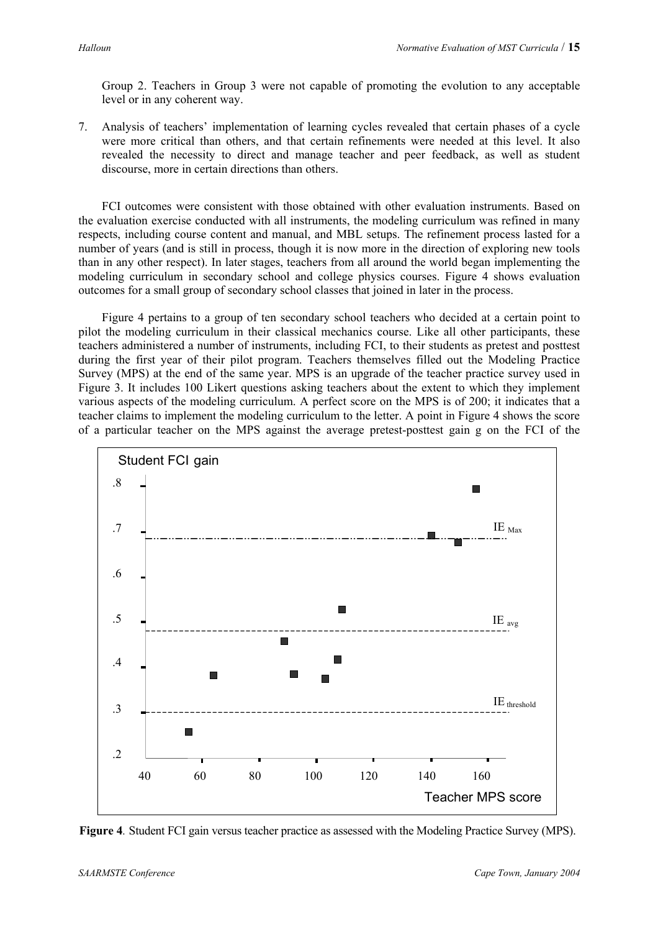Group 2. Teachers in Group 3 were not capable of promoting the evolution to any acceptable level or in any coherent way.

7. Analysis of teachers' implementation of learning cycles revealed that certain phases of a cycle were more critical than others, and that certain refinements were needed at this level. It also revealed the necessity to direct and manage teacher and peer feedback, as well as student discourse, more in certain directions than others.

FCI outcomes were consistent with those obtained with other evaluation instruments. Based on the evaluation exercise conducted with all instruments, the modeling curriculum was refined in many respects, including course content and manual, and MBL setups. The refinement process lasted for a number of years (and is still in process, though it is now more in the direction of exploring new tools than in any other respect). In later stages, teachers from all around the world began implementing the modeling curriculum in secondary school and college physics courses. Figure 4 shows evaluation outcomes for a small group of secondary school classes that joined in later in the process.

Figure 4 pertains to a group of ten secondary school teachers who decided at a certain point to pilot the modeling curriculum in their classical mechanics course. Like all other participants, these teachers administered a number of instruments, including FCI, to their students as pretest and posttest during the first year of their pilot program. Teachers themselves filled out the Modeling Practice Survey (MPS) at the end of the same year. MPS is an upgrade of the teacher practice survey used in Figure 3. It includes 100 Likert questions asking teachers about the extent to which they implement various aspects of the modeling curriculum. A perfect score on the MPS is of 200; it indicates that a teacher claims to implement the modeling curriculum to the letter. A point in Figure 4 shows the score of a particular teacher on the MPS against the average pretest-posttest gain g on the FCI of the



**Figure 4***.* Student FCI gain versus teacher practice as assessed with the Modeling Practice Survey (MPS).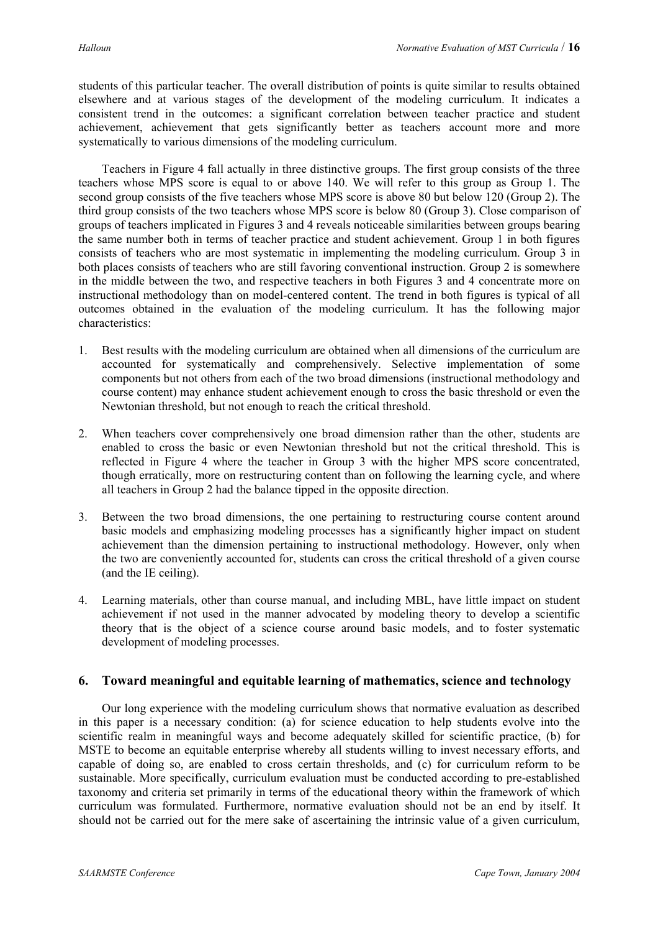students of this particular teacher. The overall distribution of points is quite similar to results obtained elsewhere and at various stages of the development of the modeling curriculum. It indicates a consistent trend in the outcomes: a significant correlation between teacher practice and student achievement, achievement that gets significantly better as teachers account more and more systematically to various dimensions of the modeling curriculum.

Teachers in Figure 4 fall actually in three distinctive groups. The first group consists of the three teachers whose MPS score is equal to or above 140. We will refer to this group as Group 1. The second group consists of the five teachers whose MPS score is above 80 but below 120 (Group 2). The third group consists of the two teachers whose MPS score is below 80 (Group 3). Close comparison of groups of teachers implicated in Figures 3 and 4 reveals noticeable similarities between groups bearing the same number both in terms of teacher practice and student achievement. Group 1 in both figures consists of teachers who are most systematic in implementing the modeling curriculum. Group 3 in both places consists of teachers who are still favoring conventional instruction. Group 2 is somewhere in the middle between the two, and respective teachers in both Figures 3 and 4 concentrate more on instructional methodology than on model-centered content. The trend in both figures is typical of all outcomes obtained in the evaluation of the modeling curriculum. It has the following major characteristics:

- 1. Best results with the modeling curriculum are obtained when all dimensions of the curriculum are accounted for systematically and comprehensively. Selective implementation of some components but not others from each of the two broad dimensions (instructional methodology and course content) may enhance student achievement enough to cross the basic threshold or even the Newtonian threshold, but not enough to reach the critical threshold.
- 2. When teachers cover comprehensively one broad dimension rather than the other, students are enabled to cross the basic or even Newtonian threshold but not the critical threshold. This is reflected in Figure 4 where the teacher in Group 3 with the higher MPS score concentrated, though erratically, more on restructuring content than on following the learning cycle, and where all teachers in Group 2 had the balance tipped in the opposite direction.
- 3. Between the two broad dimensions, the one pertaining to restructuring course content around basic models and emphasizing modeling processes has a significantly higher impact on student achievement than the dimension pertaining to instructional methodology. However, only when the two are conveniently accounted for, students can cross the critical threshold of a given course (and the IE ceiling).
- 4. Learning materials, other than course manual, and including MBL, have little impact on student achievement if not used in the manner advocated by modeling theory to develop a scientific theory that is the object of a science course around basic models, and to foster systematic development of modeling processes.

## **6. Toward meaningful and equitable learning of mathematics, science and technology**

Our long experience with the modeling curriculum shows that normative evaluation as described in this paper is a necessary condition: (a) for science education to help students evolve into the scientific realm in meaningful ways and become adequately skilled for scientific practice, (b) for MSTE to become an equitable enterprise whereby all students willing to invest necessary efforts, and capable of doing so, are enabled to cross certain thresholds, and (c) for curriculum reform to be sustainable. More specifically, curriculum evaluation must be conducted according to pre-established taxonomy and criteria set primarily in terms of the educational theory within the framework of which curriculum was formulated. Furthermore, normative evaluation should not be an end by itself. It should not be carried out for the mere sake of ascertaining the intrinsic value of a given curriculum,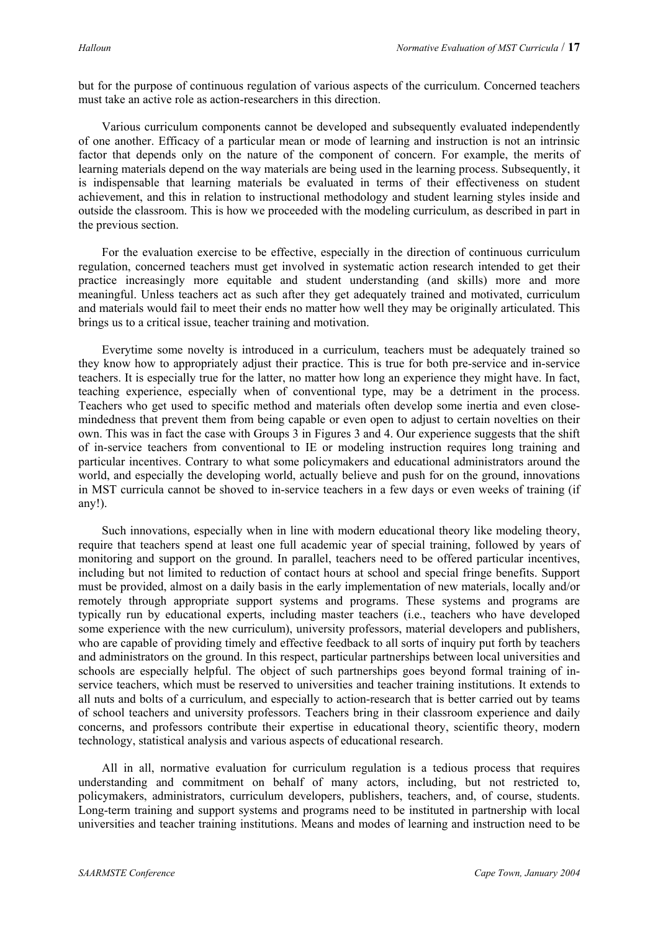but for the purpose of continuous regulation of various aspects of the curriculum. Concerned teachers must take an active role as action-researchers in this direction.

Various curriculum components cannot be developed and subsequently evaluated independently of one another. Efficacy of a particular mean or mode of learning and instruction is not an intrinsic factor that depends only on the nature of the component of concern. For example, the merits of learning materials depend on the way materials are being used in the learning process. Subsequently, it is indispensable that learning materials be evaluated in terms of their effectiveness on student achievement, and this in relation to instructional methodology and student learning styles inside and outside the classroom. This is how we proceeded with the modeling curriculum, as described in part in the previous section.

For the evaluation exercise to be effective, especially in the direction of continuous curriculum regulation, concerned teachers must get involved in systematic action research intended to get their practice increasingly more equitable and student understanding (and skills) more and more meaningful. Unless teachers act as such after they get adequately trained and motivated, curriculum and materials would fail to meet their ends no matter how well they may be originally articulated. This brings us to a critical issue, teacher training and motivation.

Everytime some novelty is introduced in a curriculum, teachers must be adequately trained so they know how to appropriately adjust their practice. This is true for both pre-service and in-service teachers. It is especially true for the latter, no matter how long an experience they might have. In fact, teaching experience, especially when of conventional type, may be a detriment in the process. Teachers who get used to specific method and materials often develop some inertia and even closemindedness that prevent them from being capable or even open to adjust to certain novelties on their own. This was in fact the case with Groups 3 in Figures 3 and 4. Our experience suggests that the shift of in-service teachers from conventional to IE or modeling instruction requires long training and particular incentives. Contrary to what some policymakers and educational administrators around the world, and especially the developing world, actually believe and push for on the ground, innovations in MST curricula cannot be shoved to in-service teachers in a few days or even weeks of training (if any!).

Such innovations, especially when in line with modern educational theory like modeling theory, require that teachers spend at least one full academic year of special training, followed by years of monitoring and support on the ground. In parallel, teachers need to be offered particular incentives, including but not limited to reduction of contact hours at school and special fringe benefits. Support must be provided, almost on a daily basis in the early implementation of new materials, locally and/or remotely through appropriate support systems and programs. These systems and programs are typically run by educational experts, including master teachers (i.e., teachers who have developed some experience with the new curriculum), university professors, material developers and publishers, who are capable of providing timely and effective feedback to all sorts of inquiry put forth by teachers and administrators on the ground. In this respect, particular partnerships between local universities and schools are especially helpful. The object of such partnerships goes beyond formal training of inservice teachers, which must be reserved to universities and teacher training institutions. It extends to all nuts and bolts of a curriculum, and especially to action-research that is better carried out by teams of school teachers and university professors. Teachers bring in their classroom experience and daily concerns, and professors contribute their expertise in educational theory, scientific theory, modern technology, statistical analysis and various aspects of educational research.

All in all, normative evaluation for curriculum regulation is a tedious process that requires understanding and commitment on behalf of many actors, including, but not restricted to, policymakers, administrators, curriculum developers, publishers, teachers, and, of course, students. Long-term training and support systems and programs need to be instituted in partnership with local universities and teacher training institutions. Means and modes of learning and instruction need to be